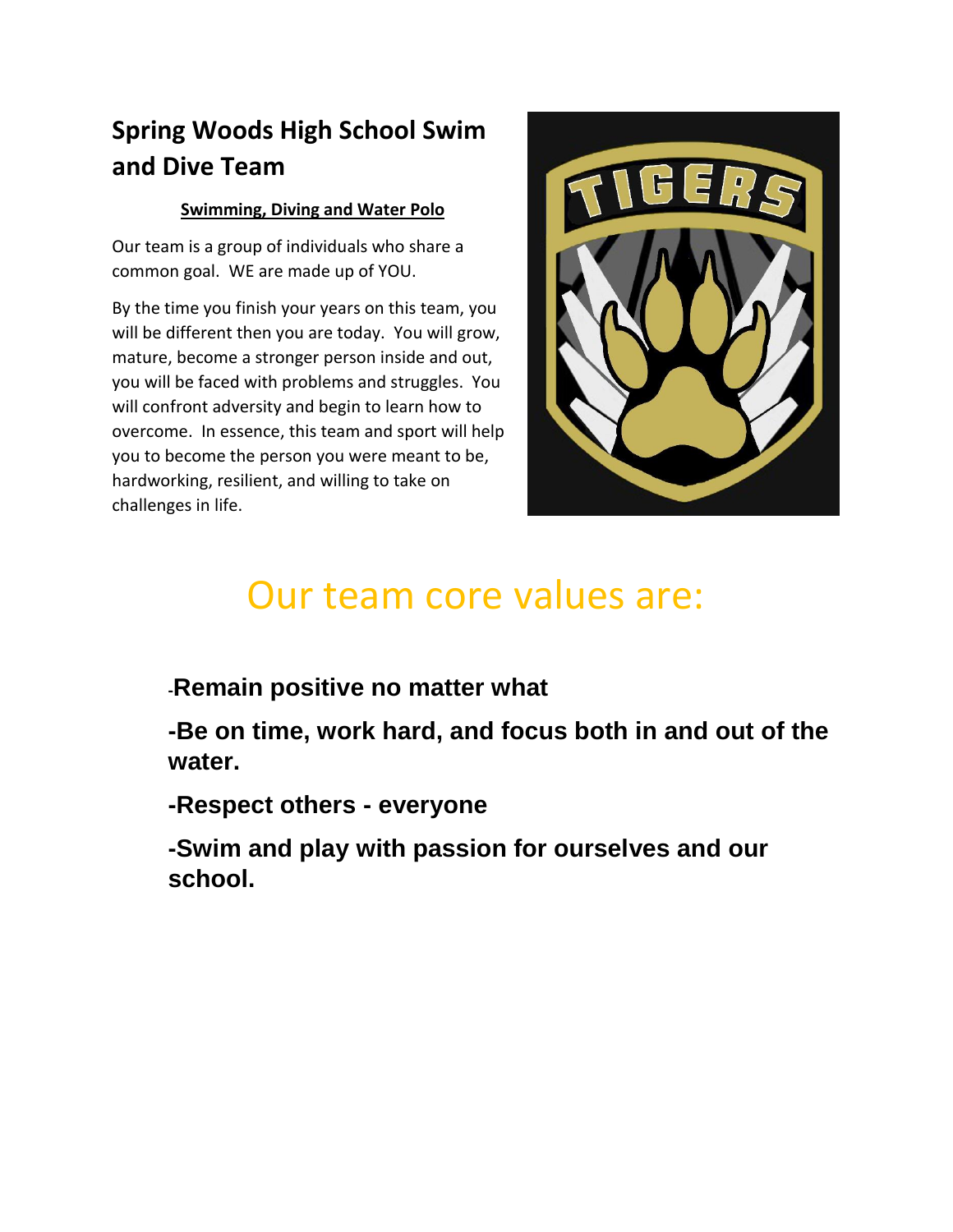# **Spring Woods High School Swim and Dive Team**

# **Swimming, Diving and Water Polo**

Our team is a group of individuals who share a common goal. WE are made up of YOU.

By the time you finish your years on this team, you will be different then you are today. You will grow, mature, become a stronger person inside and out, you will be faced with problems and struggles. You will confront adversity and begin to learn how to overcome. In essence, this team and sport will help you to become the person you were meant to be, hardworking, resilient, and willing to take on challenges in life.



# Our team core values are:

**-Remain positive no matter what**

**-Be on time, work hard, and focus both in and out of the water.**

**-Respect others - everyone**

**-Swim and play with passion for ourselves and our school.**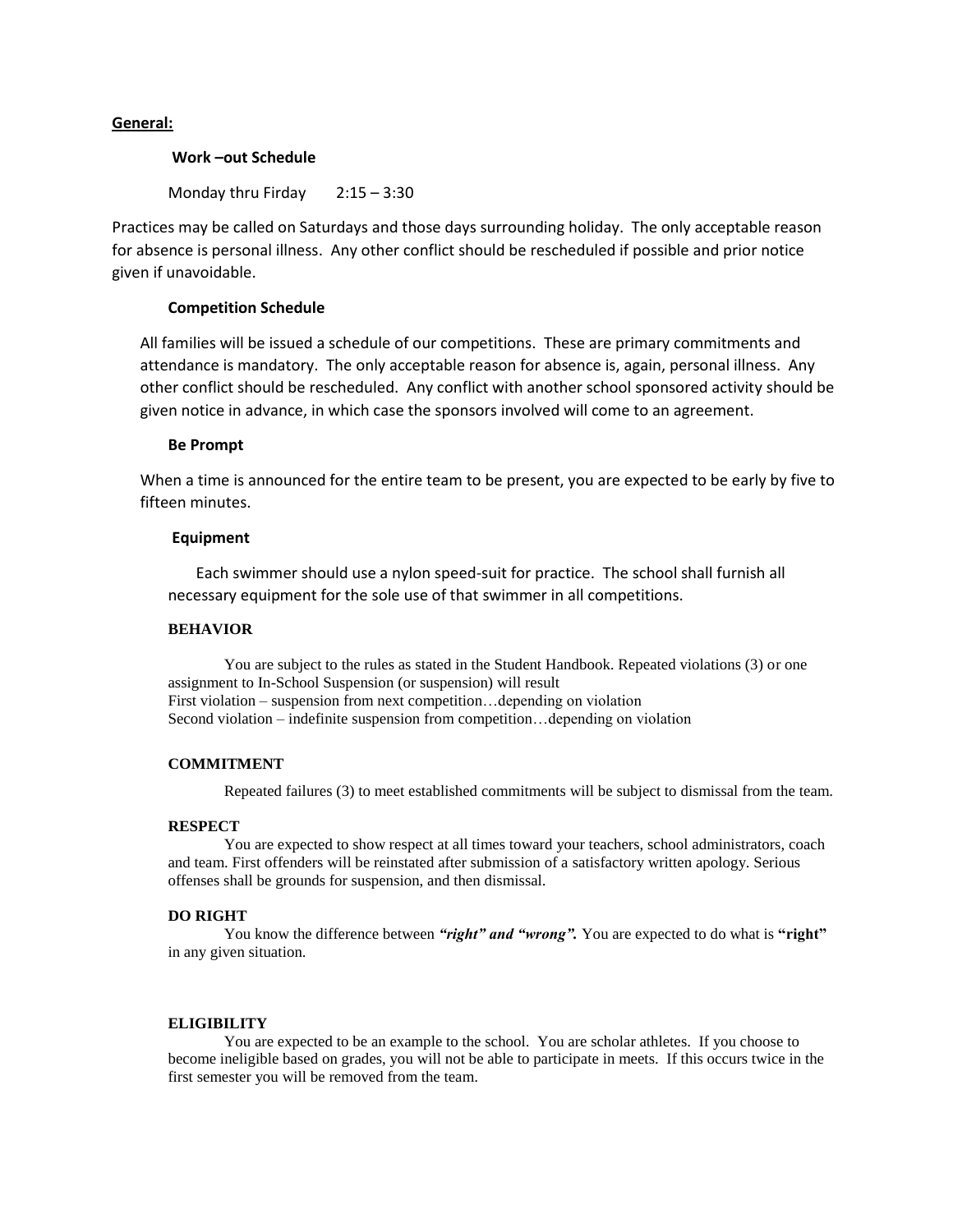#### **General:**

#### **Work –out Schedule**

Monday thru Firday 2:15 – 3:30

Practices may be called on Saturdays and those days surrounding holiday. The only acceptable reason for absence is personal illness. Any other conflict should be rescheduled if possible and prior notice given if unavoidable.

#### **Competition Schedule**

All families will be issued a schedule of our competitions. These are primary commitments and attendance is mandatory. The only acceptable reason for absence is, again, personal illness. Any other conflict should be rescheduled. Any conflict with another school sponsored activity should be given notice in advance, in which case the sponsors involved will come to an agreement.

#### **Be Prompt**

When a time is announced for the entire team to be present, you are expected to be early by five to fifteen minutes.

#### **Equipment**

Each swimmer should use a nylon speed-suit for practice. The school shall furnish all necessary equipment for the sole use of that swimmer in all competitions.

#### **BEHAVIOR**

You are subject to the rules as stated in the Student Handbook. Repeated violations (3) or one assignment to In-School Suspension (or suspension) will result First violation – suspension from next competition…depending on violation Second violation – indefinite suspension from competition…depending on violation

#### **COMMITMENT**

Repeated failures (3) to meet established commitments will be subject to dismissal from the team.

#### **RESPECT**

You are expected to show respect at all times toward your teachers, school administrators, coach and team. First offenders will be reinstated after submission of a satisfactory written apology. Serious offenses shall be grounds for suspension, and then dismissal.

#### **DO RIGHT**

You know the difference between "right" and "wrong". You are expected to do what is "right" in any given situation.

#### **ELIGIBILITY**

You are expected to be an example to the school. You are scholar athletes. If you choose to become ineligible based on grades, you will not be able to participate in meets. If this occurs twice in the first semester you will be removed from the team.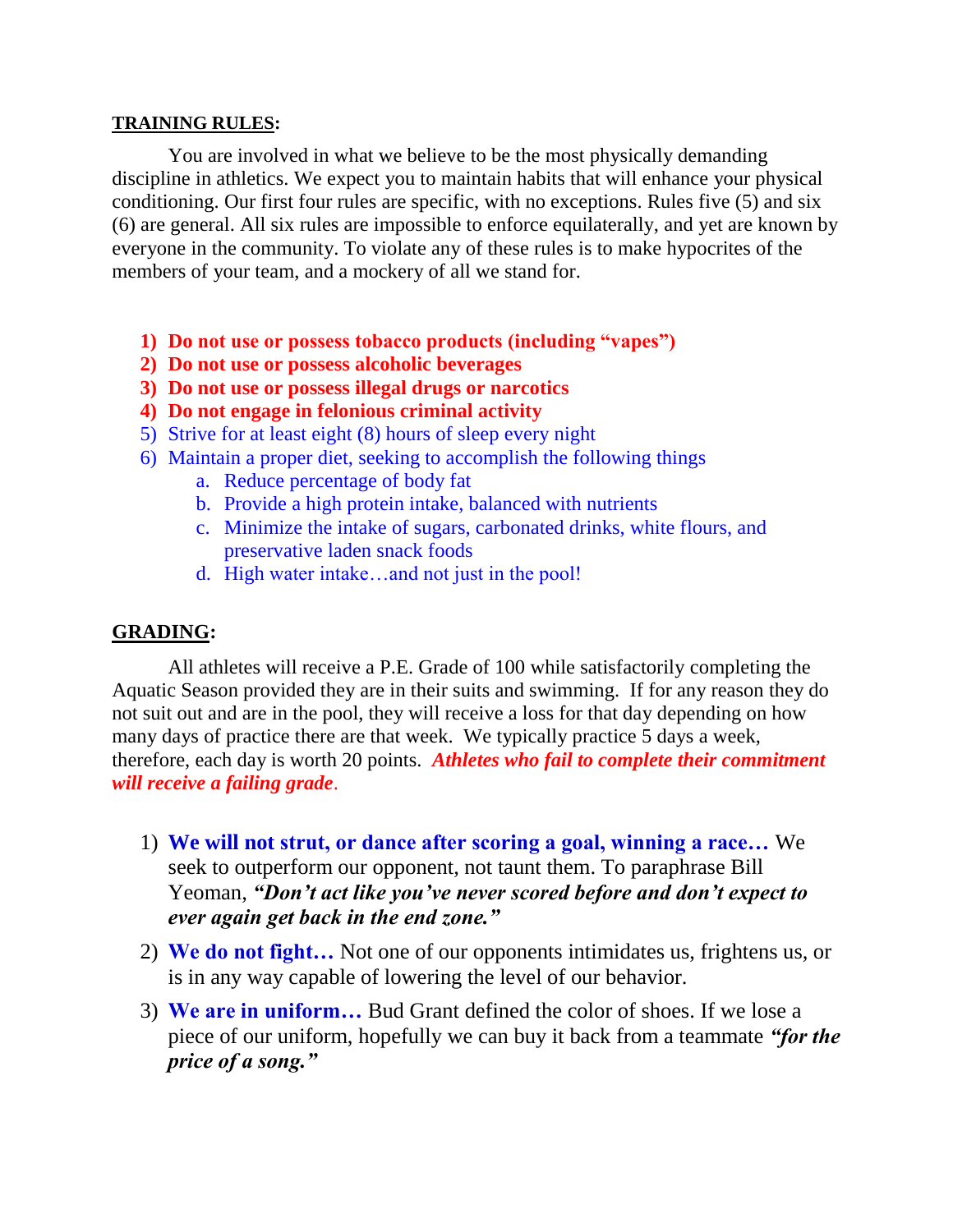# **TRAINING RULES:**

You are involved in what we believe to be the most physically demanding discipline in athletics. We expect you to maintain habits that will enhance your physical conditioning. Our first four rules are specific, with no exceptions. Rules five (5) and six (6) are general. All six rules are impossible to enforce equilaterally, and yet are known by everyone in the community. To violate any of these rules is to make hypocrites of the members of your team, and a mockery of all we stand for.

- **1) Do not use or possess tobacco products (including "vapes")**
- **2) Do not use or possess alcoholic beverages**
- **3) Do not use or possess illegal drugs or narcotics**
- **4) Do not engage in felonious criminal activity**
- 5) Strive for at least eight (8) hours of sleep every night
- 6) Maintain a proper diet, seeking to accomplish the following things
	- a. Reduce percentage of body fat
	- b. Provide a high protein intake, balanced with nutrients
	- c. Minimize the intake of sugars, carbonated drinks, white flours, and preservative laden snack foods
	- d. High water intake…and not just in the pool!

# **GRADING:**

All athletes will receive a P.E. Grade of 100 while satisfactorily completing the Aquatic Season provided they are in their suits and swimming. If for any reason they do not suit out and are in the pool, they will receive a loss for that day depending on how many days of practice there are that week. We typically practice 5 days a week, therefore, each day is worth 20 points. *Athletes who fail to complete their commitment will receive a failing grade*.

- 1) **We will not strut, or dance after scoring a goal, winning a race…** We seek to outperform our opponent, not taunt them. To paraphrase Bill Yeoman, *"Don't act like you've never scored before and don't expect to ever again get back in the end zone."*
- 2) **We do not fight…** Not one of our opponents intimidates us, frightens us, or is in any way capable of lowering the level of our behavior.
- 3) **We are in uniform…** Bud Grant defined the color of shoes. If we lose a piece of our uniform, hopefully we can buy it back from a teammate *"for the price of a song."*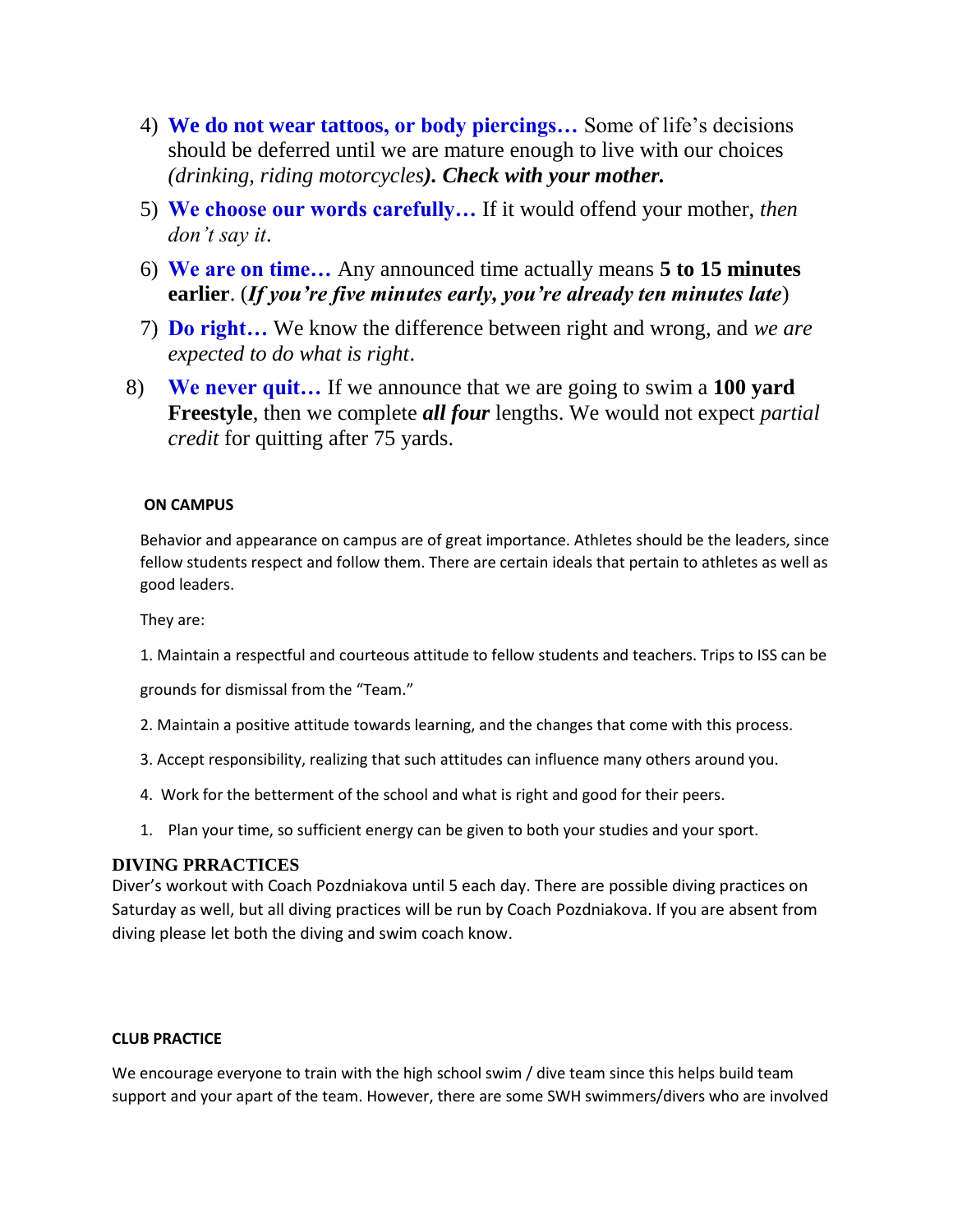- 4) **We do not wear tattoos, or body piercings…** Some of life's decisions should be deferred until we are mature enough to live with our choices *(drinking, riding motorcycles). Check with your mother.*
- 5) **We choose our words carefully…** If it would offend your mother, *then don't say it*.
- 6) **We are on time…** Any announced time actually means **5 to 15 minutes earlier**. (*If you're five minutes early, you're already ten minutes late*)
- 7) **Do right…** We know the difference between right and wrong, and *we are expected to do what is right*.
- 8) **We never quit…** If we announce that we are going to swim a **100 yard Freestyle**, then we complete *all four* lengths. We would not expect *partial credit* for quitting after 75 yards.

# **ON CAMPUS**

Behavior and appearance on campus are of great importance. Athletes should be the leaders, since fellow students respect and follow them. There are certain ideals that pertain to athletes as well as good leaders.

They are:

1. Maintain a respectful and courteous attitude to fellow students and teachers. Trips to ISS can be

grounds for dismissal from the "Team."

- 2. Maintain a positive attitude towards learning, and the changes that come with this process.
- 3. Accept responsibility, realizing that such attitudes can influence many others around you.
- 4. Work for the betterment of the school and what is right and good for their peers.
- 1. Plan your time, so sufficient energy can be given to both your studies and your sport.

# **DIVING PRRACTICES**

Diver's workout with Coach Pozdniakova until 5 each day. There are possible diving practices on Saturday as well, but all diving practices will be run by Coach Pozdniakova. If you are absent from diving please let both the diving and swim coach know.

### **CLUB PRACTICE**

We encourage everyone to train with the high school swim / dive team since this helps build team support and your apart of the team. However, there are some SWH swimmers/divers who are involved